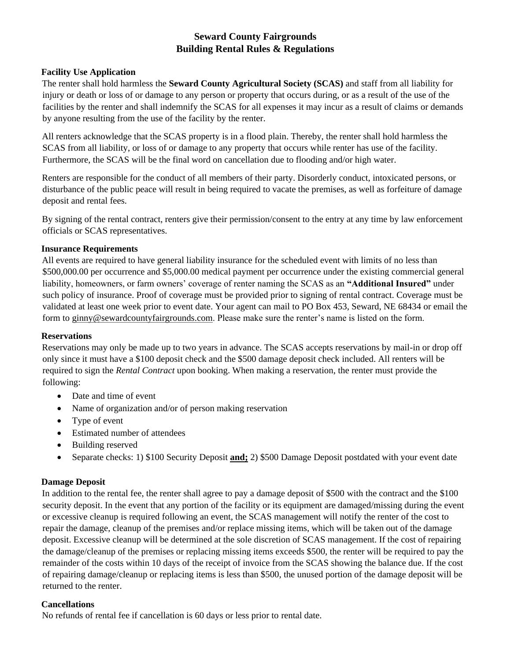# **Seward County Fairgrounds Building Rental Rules & Regulations**

#### **Facility Use Application**

The renter shall hold harmless the **Seward County Agricultural Society (SCAS)** and staff from all liability for injury or death or loss of or damage to any person or property that occurs during, or as a result of the use of the facilities by the renter and shall indemnify the SCAS for all expenses it may incur as a result of claims or demands by anyone resulting from the use of the facility by the renter.

All renters acknowledge that the SCAS property is in a flood plain. Thereby, the renter shall hold harmless the SCAS from all liability, or loss of or damage to any property that occurs while renter has use of the facility. Furthermore, the SCAS will be the final word on cancellation due to flooding and/or high water.

Renters are responsible for the conduct of all members of their party. Disorderly conduct, intoxicated persons, or disturbance of the public peace will result in being required to vacate the premises, as well as forfeiture of damage deposit and rental fees.

By signing of the rental contract, renters give their permission/consent to the entry at any time by law enforcement officials or SCAS representatives.

#### **Insurance Requirements**

All events are required to have general liability insurance for the scheduled event with limits of no less than \$500,000.00 per occurrence and \$5,000.00 medical payment per occurrence under the existing commercial general liability, homeowners, or farm owners' coverage of renter naming the SCAS as an **"Additional Insured"** under such policy of insurance. Proof of coverage must be provided prior to signing of rental contract. Coverage must be validated at least one week prior to event date. Your agent can mail to PO Box 453, Seward, NE 68434 or email the form to ginny@sewardcountyfairgrounds.com. Please make sure the renter's name is listed on the form.

#### **Reservations**

Reservations may only be made up to two years in advance. The SCAS accepts reservations by mail-in or drop off only since it must have a \$100 deposit check and the \$500 damage deposit check included. All renters will be required to sign the *Rental Contract* upon booking. When making a reservation, the renter must provide the following:

- Date and time of event
- Name of organization and/or of person making reservation
- Type of event
- Estimated number of attendees
- Building reserved
- Separate checks: 1) \$100 Security Deposit **and;** 2) \$500 Damage Deposit postdated with your event date

### **Damage Deposit**

In addition to the rental fee, the renter shall agree to pay a damage deposit of \$500 with the contract and the \$100 security deposit. In the event that any portion of the facility or its equipment are damaged/missing during the event or excessive cleanup is required following an event, the SCAS management will notify the renter of the cost to repair the damage, cleanup of the premises and/or replace missing items, which will be taken out of the damage deposit. Excessive cleanup will be determined at the sole discretion of SCAS management. If the cost of repairing the damage/cleanup of the premises or replacing missing items exceeds \$500, the renter will be required to pay the remainder of the costs within 10 days of the receipt of invoice from the SCAS showing the balance due. If the cost of repairing damage/cleanup or replacing items is less than \$500, the unused portion of the damage deposit will be returned to the renter.

#### **Cancellations**

No refunds of rental fee if cancellation is 60 days or less prior to rental date.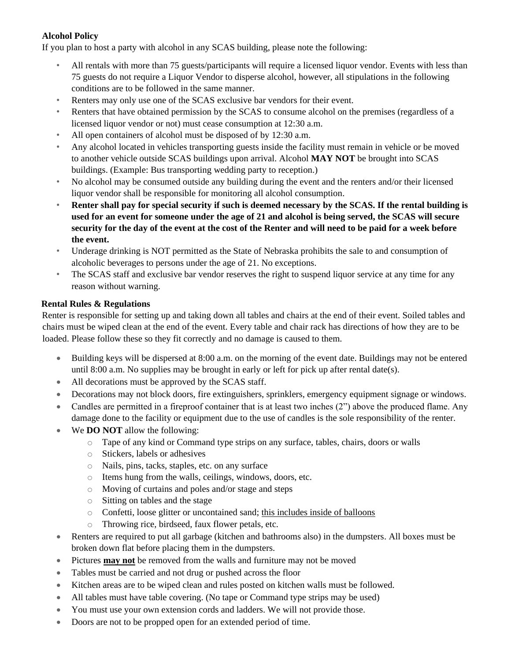## **Alcohol Policy**

If you plan to host a party with alcohol in any SCAS building, please note the following:

- All rentals with more than 75 guests/participants will require a licensed liquor vendor. Events with less than 75 guests do not require a Liquor Vendor to disperse alcohol, however, all stipulations in the following conditions are to be followed in the same manner.
- Renters may only use one of the SCAS exclusive bar vendors for their event.
- Renters that have obtained permission by the SCAS to consume alcohol on the premises (regardless of a licensed liquor vendor or not) must cease consumption at 12:30 a.m.
- All open containers of alcohol must be disposed of by 12:30 a.m.
- Any alcohol located in vehicles transporting guests inside the facility must remain in vehicle or be moved to another vehicle outside SCAS buildings upon arrival. Alcohol **MAY NOT** be brought into SCAS buildings. (Example: Bus transporting wedding party to reception.)
- No alcohol may be consumed outside any building during the event and the renters and/or their licensed liquor vendor shall be responsible for monitoring all alcohol consumption.
- **Renter shall pay for special security if such is deemed necessary by the SCAS. If the rental building is used for an event for someone under the age of 21 and alcohol is being served, the SCAS will secure security for the day of the event at the cost of the Renter and will need to be paid for a week before the event.**
- Underage drinking is NOT permitted as the State of Nebraska prohibits the sale to and consumption of alcoholic beverages to persons under the age of 21. No exceptions.
- The SCAS staff and exclusive bar vendor reserves the right to suspend liquor service at any time for any reason without warning.

#### **Rental Rules & Regulations**

Renter is responsible for setting up and taking down all tables and chairs at the end of their event. Soiled tables and chairs must be wiped clean at the end of the event. Every table and chair rack has directions of how they are to be loaded. Please follow these so they fit correctly and no damage is caused to them.

- Building keys will be dispersed at 8:00 a.m. on the morning of the event date. Buildings may not be entered until 8:00 a.m. No supplies may be brought in early or left for pick up after rental date(s).
- All decorations must be approved by the SCAS staff.
- Decorations may not block doors, fire extinguishers, sprinklers, emergency equipment signage or windows.
- Candles are permitted in a fireproof container that is at least two inches (2") above the produced flame. Any damage done to the facility or equipment due to the use of candles is the sole responsibility of the renter.
- We **DO NOT** allow the following:
	- $\circ$  Tape of any kind or Command type strips on any surface, tables, chairs, doors or walls
	- o Stickers, labels or adhesives
	- o Nails, pins, tacks, staples, etc. on any surface
	- o Items hung from the walls, ceilings, windows, doors, etc.
	- o Moving of curtains and poles and/or stage and steps
	- o Sitting on tables and the stage
	- o Confetti, loose glitter or uncontained sand; this includes inside of balloons
	- o Throwing rice, birdseed, faux flower petals, etc.
- Renters are required to put all garbage (kitchen and bathrooms also) in the dumpsters. All boxes must be broken down flat before placing them in the dumpsters.
- Pictures **may not** be removed from the walls and furniture may not be moved
- Tables must be carried and not drug or pushed across the floor
- Kitchen areas are to be wiped clean and rules posted on kitchen walls must be followed.
- All tables must have table covering. (No tape or Command type strips may be used)
- You must use your own extension cords and ladders. We will not provide those.
- Doors are not to be propped open for an extended period of time.